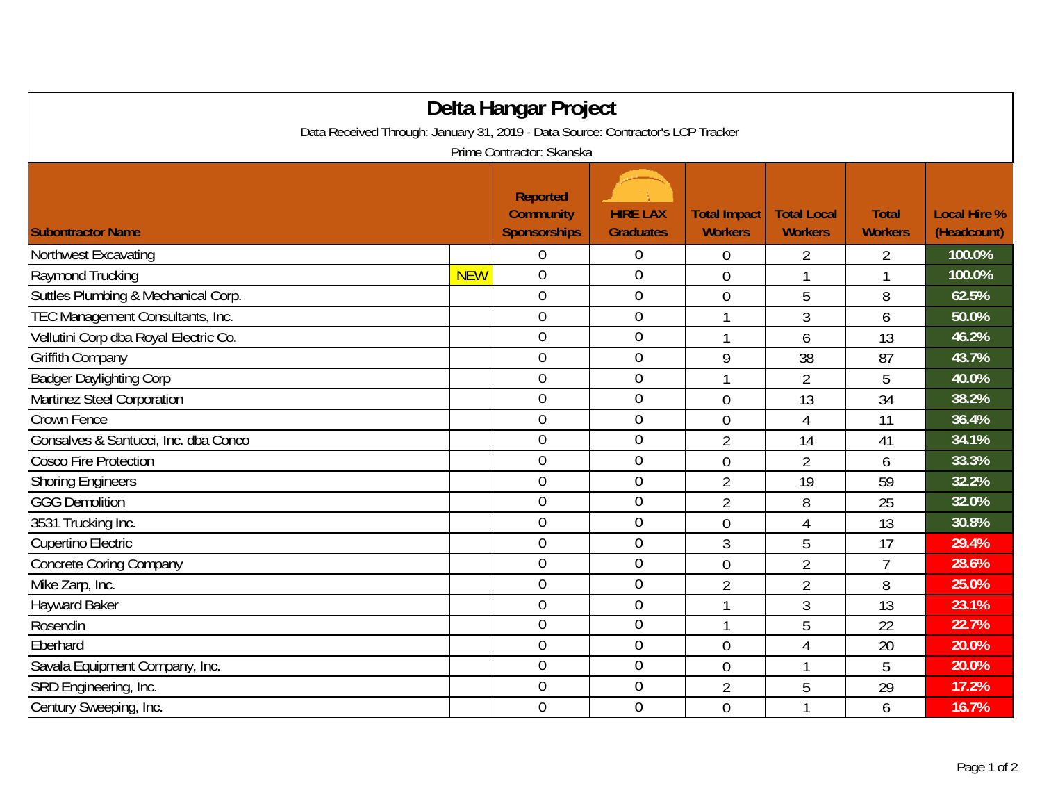| Delta Hangar Project                                                            |            |                                                            |                                     |                                       |                                      |                                |                                    |  |  |  |  |  |
|---------------------------------------------------------------------------------|------------|------------------------------------------------------------|-------------------------------------|---------------------------------------|--------------------------------------|--------------------------------|------------------------------------|--|--|--|--|--|
| Data Received Through: January 31, 2019 - Data Source: Contractor's LCP Tracker |            |                                                            |                                     |                                       |                                      |                                |                                    |  |  |  |  |  |
| Prime Contractor: Skanska                                                       |            |                                                            |                                     |                                       |                                      |                                |                                    |  |  |  |  |  |
| <b>Subontractor Name</b>                                                        |            | <b>Reported</b><br><b>Community</b><br><b>Sponsorships</b> | <b>HIRE LAX</b><br><b>Graduates</b> | <b>Total Impact</b><br><b>Workers</b> | <b>Total Local</b><br><b>Workers</b> | <b>Total</b><br><b>Workers</b> | <b>Local Hire %</b><br>(Headcount) |  |  |  |  |  |
| Northwest Excavating                                                            |            | $\overline{0}$                                             | $\overline{0}$                      | 0                                     | 2                                    | 2                              | 100.0%                             |  |  |  |  |  |
| Raymond Trucking                                                                | <b>NEW</b> | $\overline{0}$                                             | $\boldsymbol{0}$                    | $\overline{0}$                        |                                      | 1                              | 100.0%                             |  |  |  |  |  |
| Suttles Plumbing & Mechanical Corp.                                             |            | $\overline{0}$                                             | $\mathbf 0$                         | $\overline{0}$                        | 5                                    | 8                              | 62.5%                              |  |  |  |  |  |
| TEC Management Consultants, Inc.                                                |            | $\overline{0}$                                             | $\mathbf 0$                         |                                       | 3                                    | 6                              | 50.0%                              |  |  |  |  |  |
| Vellutini Corp dba Royal Electric Co.                                           |            | $\overline{0}$                                             | $\boldsymbol{0}$                    |                                       | 6                                    | 13                             | 46.2%                              |  |  |  |  |  |
| Griffith Company                                                                |            | $\overline{0}$                                             | $\mathbf 0$                         | 9                                     | 38                                   | 87                             | 43.7%                              |  |  |  |  |  |
| <b>Badger Daylighting Corp</b>                                                  |            | $\overline{0}$                                             | $\boldsymbol{0}$                    | 1                                     | $\overline{2}$                       | 5                              | 40.0%                              |  |  |  |  |  |
| Martinez Steel Corporation                                                      |            | $\mathbf 0$                                                | $\mathbf 0$                         | $\overline{0}$                        | 13                                   | 34                             | 38.2%                              |  |  |  |  |  |
| Crown Fence                                                                     |            | $\overline{0}$                                             | $\mathbf 0$                         | $\overline{0}$                        | 4                                    | 11                             | 36.4%                              |  |  |  |  |  |
| Gonsalves & Santucci, Inc. dba Conco                                            |            | $\boldsymbol{0}$                                           | $\boldsymbol{0}$                    | $\overline{2}$                        | 14                                   | 41                             | 34.1%                              |  |  |  |  |  |
| <b>Cosco Fire Protection</b>                                                    |            | $\mathbf 0$                                                | $\boldsymbol{0}$                    | $\overline{0}$                        | $\overline{2}$                       | 6                              | 33.3%                              |  |  |  |  |  |
| <b>Shoring Engineers</b>                                                        |            | $\overline{0}$                                             | $\boldsymbol{0}$                    | $\overline{2}$                        | 19                                   | 59                             | 32.2%                              |  |  |  |  |  |
| <b>GGG Demolition</b>                                                           |            | $\overline{0}$                                             | $\overline{0}$                      | $\overline{2}$                        | 8                                    | 25                             | 32.0%                              |  |  |  |  |  |
| 3531 Trucking Inc.                                                              |            | $\overline{0}$                                             | $\boldsymbol{0}$                    | $\overline{0}$                        | 4                                    | 13                             | 30.8%                              |  |  |  |  |  |
| Cupertino Electric                                                              |            | $\overline{0}$                                             | $\mathbf 0$                         | 3                                     | 5                                    | 17                             | 29.4%                              |  |  |  |  |  |
| <b>Concrete Coring Company</b>                                                  |            | $\overline{0}$                                             | $\boldsymbol{0}$                    | $\overline{0}$                        | $\overline{2}$                       | $\overline{7}$                 | 28.6%                              |  |  |  |  |  |
| Mike Zarp, Inc.                                                                 |            | $\overline{0}$                                             | $\mathbf 0$                         | $\overline{2}$                        | $\overline{2}$                       | 8                              | 25.0%                              |  |  |  |  |  |
| <b>Hayward Baker</b>                                                            |            | $\mathbf 0$                                                | $\mathbf 0$                         |                                       | $\mathfrak{Z}$                       | 13                             | 23.1%                              |  |  |  |  |  |
| Rosendin                                                                        |            | $\overline{0}$                                             | $\mathbf 0$                         | 1                                     | 5                                    | 22                             | 22.7%                              |  |  |  |  |  |
| Eberhard                                                                        |            | $\overline{0}$                                             | $\mathbf 0$                         | $\overline{0}$                        | 4                                    | 20                             | 20.0%                              |  |  |  |  |  |
| Savala Equipment Company, Inc.                                                  |            | $\overline{0}$                                             | $\mathbf 0$                         | $\overline{0}$                        |                                      | 5                              | 20.0%                              |  |  |  |  |  |
| SRD Engineering, Inc.                                                           |            | $\overline{0}$                                             | $\mathbf 0$                         | $\overline{2}$                        | 5                                    | 29                             | 17.2%                              |  |  |  |  |  |
| Century Sweeping, Inc.                                                          |            | $\overline{0}$                                             | $\mathbf 0$                         | $\overline{0}$                        |                                      | 6                              | 16.7%                              |  |  |  |  |  |